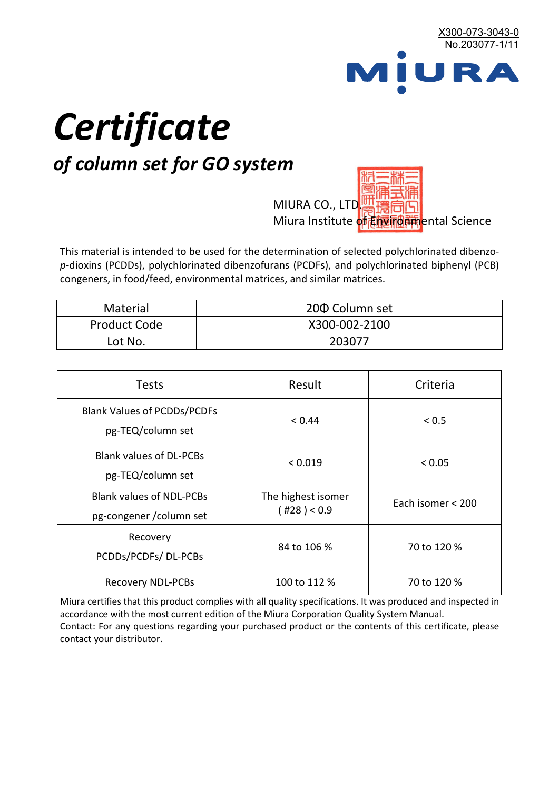

# *Certificate*

## *of column set for GO system*

MIURA CO., LTD. Miura Institute of 正版而解ental Science

This material is intended to be used for the determination of selected polychlorinated dibenzo*p*-dioxins (PCDDs), polychlorinated dibenzofurans (PCDFs), and polychlorinated biphenyl (PCB) congeners, in food/feed, environmental matrices, and similar matrices.

| <b>Material</b>     | 200 Column set |  |
|---------------------|----------------|--|
| <b>Product Code</b> | X300-002-2100  |  |
| Lot No.             | 203077         |  |

| <b>Tests</b>                                                | Result                            | Criteria          |
|-------------------------------------------------------------|-----------------------------------|-------------------|
| <b>Blank Values of PCDDs/PCDFs</b><br>pg-TEQ/column set     | < 0.44                            | < 0.5             |
| <b>Blank values of DL-PCBs</b><br>pg-TEQ/column set         | < 0.019                           | < 0.05            |
| <b>Blank values of NDL-PCBs</b><br>pg-congener / column set | The highest isomer<br>(428) < 0.9 | Each isomer < 200 |
| Recovery<br>PCDDs/PCDFs/DL-PCBs                             | 84 to 106 %                       | 70 to 120 %       |
| <b>Recovery NDL-PCBs</b>                                    | 100 to 112 %                      | 70 to 120 %       |

Miura certifies that this product complies with all quality specifications. It was produced and inspected in accordance with the most current edition of the Miura Corporation Quality System Manual. Contact: For any questions regarding your purchased product or the contents of this certificate, please contact your distributor.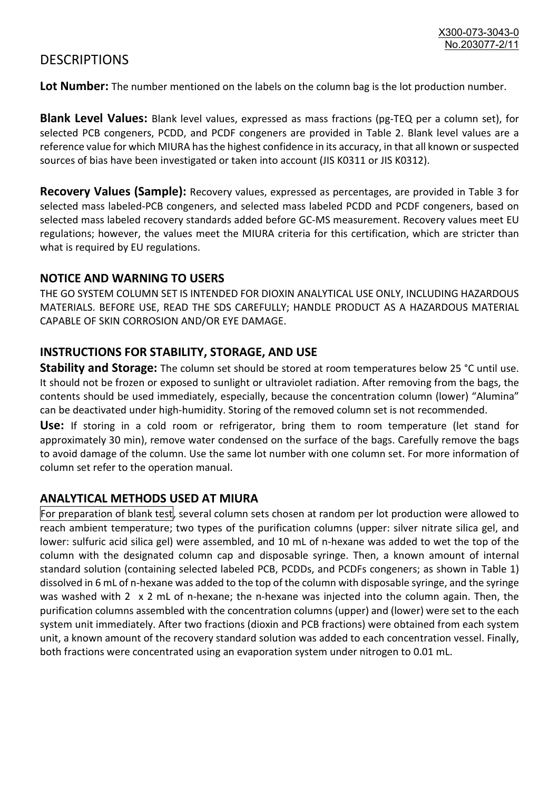### **DESCRIPTIONS**

**Lot Number:** The number mentioned on the labels on the column bag is the lot production number.

**Blank Level Values:** Blank level values, expressed as mass fractions (pg-TEQ per a column set), for selected PCB congeners, PCDD, and PCDF congeners are provided in Table 2. Blank level values are a reference value for which MIURA has the highest confidence in its accuracy, in that all known or suspected sources of bias have been investigated or taken into account (JIS K0311 or JIS K0312).

**Recovery Values (Sample):** Recovery values, expressed as percentages, are provided in Table 3 for selected mass labeled-PCB congeners, and selected mass labeled PCDD and PCDF congeners, based on selected mass labeled recovery standards added before GC-MS measurement. Recovery values meet EU regulations; however, the values meet the MIURA criteria for this certification, which are stricter than what is required by EU regulations.

#### **NOTICE AND WARNING TO USERS**

THE GO SYSTEM COLUMN SET IS INTENDED FOR DIOXIN ANALYTICAL USE ONLY, INCLUDING HAZARDOUS MATERIALS. BEFORE USE, READ THE SDS CAREFULLY; HANDLE PRODUCT AS A HAZARDOUS MATERIAL CAPABLE OF SKIN CORROSION AND/OR EYE DAMAGE.

#### **INSTRUCTIONS FOR STABILITY, STORAGE, AND USE**

**Stability and Storage:** The column set should be stored at room temperatures below 25 °C until use. It should not be frozen or exposed to sunlight or ultraviolet radiation. After removing from the bags, the contents should be used immediately, especially, because the concentration column (lower) "Alumina" can be deactivated under high-humidity. Storing of the removed column set is not recommended.

**Use:** If storing in a cold room or refrigerator, bring them to room temperature (let stand for approximately 30 min), remove water condensed on the surface of the bags. Carefully remove the bags to avoid damage of the column. Use the same lot number with one column set. For more information of column set refer to the operation manual.

#### **ANALYTICAL METHODS USED AT MIURA**

For preparation of blank test, several column sets chosen at random per lot production were allowed to reach ambient temperature; two types of the purification columns (upper: silver nitrate silica gel, and lower: sulfuric acid silica gel) were assembled, and 10 mL of n-hexane was added to wet the top of the column with the designated column cap and disposable syringe. Then, a known amount of internal standard solution (containing selected labeled PCB, PCDDs, and PCDFs congeners; as shown in Table 1) dissolved in 6 mL of n-hexane was added to the top of the column with disposable syringe, and the syringe was washed with 2 x 2 mL of n-hexane; the n-hexane was injected into the column again. Then, the purification columns assembled with the concentration columns (upper) and (lower) were set to the each system unit immediately. After two fractions (dioxin and PCB fractions) were obtained from each system unit, a known amount of the recovery standard solution was added to each concentration vessel. Finally, both fractions were concentrated using an evaporation system under nitrogen to 0.01 mL.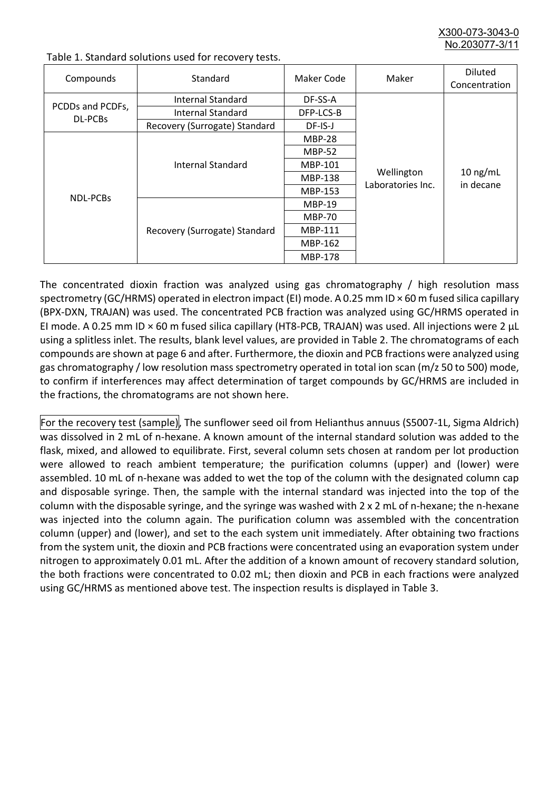X300-073-3043-0 No.203077-3/

| Compounds                   | Standard                      | Maker Code     | Maker                           | <b>Diluted</b><br>Concentration |
|-----------------------------|-------------------------------|----------------|---------------------------------|---------------------------------|
| PCDDs and PCDFs,<br>DL-PCBs | Internal Standard             | DF-SS-A        |                                 | $10$ ng/mL<br>in decane         |
|                             | <b>Internal Standard</b>      | DFP-LCS-B      |                                 |                                 |
|                             | Recovery (Surrogate) Standard | DF-IS-J        | Wellington<br>Laboratories Inc. |                                 |
| <b>NDL-PCBs</b>             | Internal Standard             | <b>MBP-28</b>  |                                 |                                 |
|                             |                               | <b>MBP-52</b>  |                                 |                                 |
|                             |                               | MBP-101        |                                 |                                 |
|                             |                               | <b>MBP-138</b> |                                 |                                 |
|                             |                               | MBP-153        |                                 |                                 |
|                             | Recovery (Surrogate) Standard | <b>MBP-19</b>  |                                 |                                 |
|                             |                               | <b>MBP-70</b>  |                                 |                                 |
|                             |                               | MBP-111        |                                 |                                 |
|                             |                               | MBP-162        |                                 |                                 |
|                             |                               | <b>MBP-178</b> |                                 |                                 |

Table 1. Standard solutions used for recovery tests.

The concentrated dioxin fraction was analyzed using gas chromatography / high resolution mass spectrometry (GC/HRMS) operated in electron impact (EI) mode. A 0.25 mm ID × 60 m fused silica capillary (BPX-DXN, TRAJAN) was used. The concentrated PCB fraction was analyzed using GC/HRMS operated in EI mode. A 0.25 mm ID × 60 m fused silica capillary (HT8-PCB, TRAJAN) was used. All injections were 2 μL using a splitless inlet. The results, blank level values, are provided in Table 2. The chromatograms of each compounds are shown at page 6 and after. Furthermore, the dioxin and PCB fractions were analyzed using gas chromatography / low resolution mass spectrometry operated in total ion scan (m/z 50 to 500) mode, to confirm if interferences may affect determination of target compounds by GC/HRMS are included in the fractions, the chromatograms are not shown here.

For the recovery test (sample), The sunflower seed oil from Helianthus annuus (S5007-1L, Sigma Aldrich) was dissolved in 2 mL of n-hexane. A known amount of the internal standard solution was added to the flask, mixed, and allowed to equilibrate. First, several column sets chosen at random per lot production were allowed to reach ambient temperature; the purification columns (upper) and (lower) were assembled. 10 mL of n-hexane was added to wet the top of the column with the designated column cap and disposable syringe. Then, the sample with the internal standard was injected into the top of the column with the disposable syringe, and the syringe was washed with 2 x 2 mL of n-hexane; the n-hexane was injected into the column again. The purification column was assembled with the concentration column (upper) and (lower), and set to the each system unit immediately. After obtaining two fractions from the system unit, the dioxin and PCB fractions were concentrated using an evaporation system under nitrogen to approximately 0.01 mL. After the addition of a known amount of recovery standard solution, the both fractions were concentrated to 0.02 mL; then dioxin and PCB in each fractions were analyzed using GC/HRMS as mentioned above test. The inspection results is displayed in Table 3.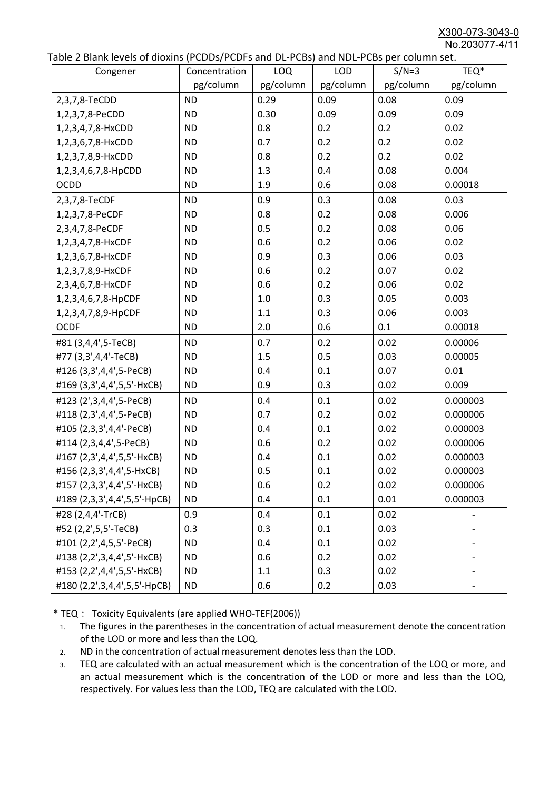X300-073-3043-0 No.203077-4/11

|  |  | Table 2 Blank levels of dioxins (PCDDs/PCDFs and DL-PCBs) and NDL-PCBs per column set. |
|--|--|----------------------------------------------------------------------------------------|
|--|--|----------------------------------------------------------------------------------------|

| able 2 Dialik levels of dioxilis (PCDDs/PCDI's and DL-PCDs) and NDL-PCDs per coldinii set.<br>Congener | Concentration | LOQ       | <b>LOD</b> | $S/N=3$   | TEQ*      |
|--------------------------------------------------------------------------------------------------------|---------------|-----------|------------|-----------|-----------|
|                                                                                                        | pg/column     | pg/column | pg/column  | pg/column | pg/column |
| 2,3,7,8-TeCDD                                                                                          | <b>ND</b>     | 0.29      | 0.09       | 0.08      | 0.09      |
| 1,2,3,7,8-PeCDD                                                                                        | <b>ND</b>     | 0.30      | 0.09       | 0.09      | 0.09      |
| 1,2,3,4,7,8-HxCDD                                                                                      | <b>ND</b>     | 0.8       | 0.2        | 0.2       | 0.02      |
| 1,2,3,6,7,8-HxCDD                                                                                      | <b>ND</b>     | 0.7       | 0.2        | 0.2       | 0.02      |
| 1,2,3,7,8,9-HxCDD                                                                                      | <b>ND</b>     | 0.8       | 0.2        | 0.2       | 0.02      |
| 1,2,3,4,6,7,8-HpCDD                                                                                    | <b>ND</b>     | 1.3       | 0.4        | 0.08      | 0.004     |
| <b>OCDD</b>                                                                                            | <b>ND</b>     | 1.9       | 0.6        | 0.08      | 0.00018   |
| 2,3,7,8-TeCDF                                                                                          | <b>ND</b>     | 0.9       | 0.3        | 0.08      | 0.03      |
| 1,2,3,7,8-PeCDF                                                                                        | <b>ND</b>     | 0.8       | 0.2        | 0.08      | 0.006     |
| 2,3,4,7,8-PeCDF                                                                                        | <b>ND</b>     | 0.5       | 0.2        | 0.08      | 0.06      |
| 1,2,3,4,7,8-HxCDF                                                                                      | <b>ND</b>     | 0.6       | 0.2        | 0.06      | 0.02      |
| 1,2,3,6,7,8-HxCDF                                                                                      | <b>ND</b>     | 0.9       | 0.3        | 0.06      | 0.03      |
| 1,2,3,7,8,9-HxCDF                                                                                      | <b>ND</b>     | 0.6       | 0.2        | 0.07      | 0.02      |
| 2,3,4,6,7,8-HxCDF                                                                                      | <b>ND</b>     | 0.6       | 0.2        | 0.06      | 0.02      |
| 1,2,3,4,6,7,8-HpCDF                                                                                    | <b>ND</b>     | 1.0       | 0.3        | 0.05      | 0.003     |
| 1,2,3,4,7,8,9-HpCDF                                                                                    | <b>ND</b>     | 1.1       | 0.3        | 0.06      | 0.003     |
| <b>OCDF</b>                                                                                            | <b>ND</b>     | 2.0       | 0.6        | 0.1       | 0.00018   |
| #81 (3,4,4',5-TeCB)                                                                                    | <b>ND</b>     | 0.7       | 0.2        | 0.02      | 0.00006   |
| #77 (3,3',4,4'-TeCB)                                                                                   | <b>ND</b>     | 1.5       | 0.5        | 0.03      | 0.00005   |
| #126 (3,3',4,4',5-PeCB)                                                                                | <b>ND</b>     | 0.4       | 0.1        | 0.07      | 0.01      |
| #169 (3,3',4,4',5,5'-HxCB)                                                                             | <b>ND</b>     | 0.9       | 0.3        | 0.02      | 0.009     |
| #123 (2',3,4,4',5-PeCB)                                                                                | <b>ND</b>     | 0.4       | 0.1        | 0.02      | 0.000003  |
| #118 (2,3',4,4',5-PeCB)                                                                                | <b>ND</b>     | 0.7       | 0.2        | 0.02      | 0.000006  |
| #105 (2,3,3',4,4'-PeCB)                                                                                | <b>ND</b>     | 0.4       | 0.1        | 0.02      | 0.000003  |
| #114 (2,3,4,4',5-PeCB)                                                                                 | <b>ND</b>     | 0.6       | 0.2        | 0.02      | 0.000006  |
| #167 (2,3',4,4',5,5'-HxCB)                                                                             | <b>ND</b>     | 0.4       | 0.1        | 0.02      | 0.000003  |
| #156 (2,3,3',4,4',5-HxCB)                                                                              | <b>ND</b>     | 0.5       | 0.1        | 0.02      | 0.000003  |
| #157 (2,3,3',4,4',5'-HxCB)                                                                             | <b>ND</b>     | 0.6       | 0.2        | 0.02      | 0.000006  |
| #189 (2,3,3',4,4',5,5'-HpCB)                                                                           | <b>ND</b>     | 0.4       | 0.1        | 0.01      | 0.000003  |
| #28 (2,4,4'-TrCB)                                                                                      | 0.9           | 0.4       | 0.1        | 0.02      |           |
| #52 (2,2',5,5'-TeCB)                                                                                   | 0.3           | 0.3       | 0.1        | 0.03      |           |
| #101 (2,2',4,5,5'-PeCB)                                                                                | <b>ND</b>     | 0.4       | 0.1        | 0.02      |           |
| #138 (2,2',3,4,4',5'-HxCB)                                                                             | <b>ND</b>     | 0.6       | 0.2        | 0.02      |           |
| #153 (2,2',4,4',5,5'-HxCB)                                                                             | <b>ND</b>     | 1.1       | 0.3        | 0.02      |           |
| #180 (2,2',3,4,4',5,5'-HpCB)                                                                           | <b>ND</b>     | 0.6       | 0.2        | 0.03      |           |

\* TEQ: Toxicity Equivalents (are applied WHO-TEF(2006))

- 1. The figures in the parentheses in the concentration of actual measurement denote the concentration of the LOD or more and less than the LOQ.
- 2. ND in the concentration of actual measurement denotes less than the LOD.
- 3. TEQ are calculated with an actual measurement which is the concentration of the LOQ or more, and an actual measurement which is the concentration of the LOD or more and less than the LOQ, respectively. For values less than the LOD, TEQ are calculated with the LOD.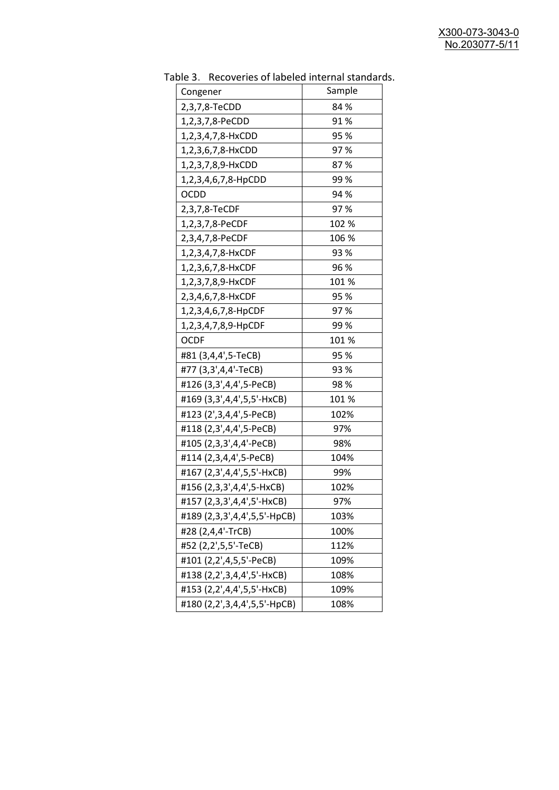| uwic J.<br><u>RECOVERTS OF RIDERS INTERNITION STATIONS</u> |        |
|------------------------------------------------------------|--------|
| Congener                                                   | Sample |
| 2,3,7,8-TeCDD                                              | 84 %   |
| 1,2,3,7,8-PeCDD                                            | 91%    |
| 1,2,3,4,7,8-HxCDD                                          | 95%    |
| 1,2,3,6,7,8-HxCDD                                          | 97%    |
| 1,2,3,7,8,9-HxCDD                                          | 87%    |
| 1,2,3,4,6,7,8-HpCDD                                        | 99%    |
| <b>OCDD</b>                                                | 94 %   |
| 2,3,7,8-TeCDF                                              | 97 %   |
| 1,2,3,7,8-PeCDF                                            | 102 %  |
| 2,3,4,7,8-PeCDF                                            | 106 %  |
| 1,2,3,4,7,8-HxCDF                                          | 93 %   |
| 1,2,3,6,7,8-HxCDF                                          | 96 %   |
| 1,2,3,7,8,9-HxCDF                                          | 101%   |
| 2,3,4,6,7,8-HxCDF                                          | 95%    |
| 1,2,3,4,6,7,8-HpCDF                                        | 97%    |
| 1,2,3,4,7,8,9-HpCDF                                        | 99%    |
| <b>OCDF</b>                                                | 101%   |
| #81 (3,4,4',5-TeCB)                                        | 95 %   |
| #77 (3,3',4,4'-TeCB)                                       | 93 %   |
| #126 (3,3',4,4',5-PeCB)                                    | 98 %   |
| #169 (3,3',4,4',5,5'-HxCB)                                 | 101 %  |
| #123 (2',3,4,4',5-PeCB)                                    | 102%   |
| #118 (2,3',4,4',5-PeCB)                                    | 97%    |
| #105 (2,3,3',4,4'-PeCB)                                    | 98%    |
| #114 (2,3,4,4',5-PeCB)                                     | 104%   |
| #167 (2,3',4,4',5,5'-HxCB)                                 | 99%    |
| #156 (2,3,3',4,4',5-HxCB)                                  | 102%   |
| #157 (2,3,3',4,4',5'-HxCB)                                 | 97%    |
| #189 (2,3,3',4,4',5,5'-HpCB)                               | 103%   |
| #28 (2,4,4'-TrCB)                                          | 100%   |
| #52 (2,2',5,5'-TeCB)                                       | 112%   |
| #101 (2,2',4,5,5'-PeCB)                                    | 109%   |
| #138 (2,2',3,4,4',5'-HxCB)                                 | 108%   |
| #153 (2,2',4,4',5,5'-HxCB)                                 | 109%   |
| #180 (2,2',3,4,4',5,5'-HpCB)                               | 108%   |
|                                                            |        |

Table 3. Recoveries of labeled internal standards.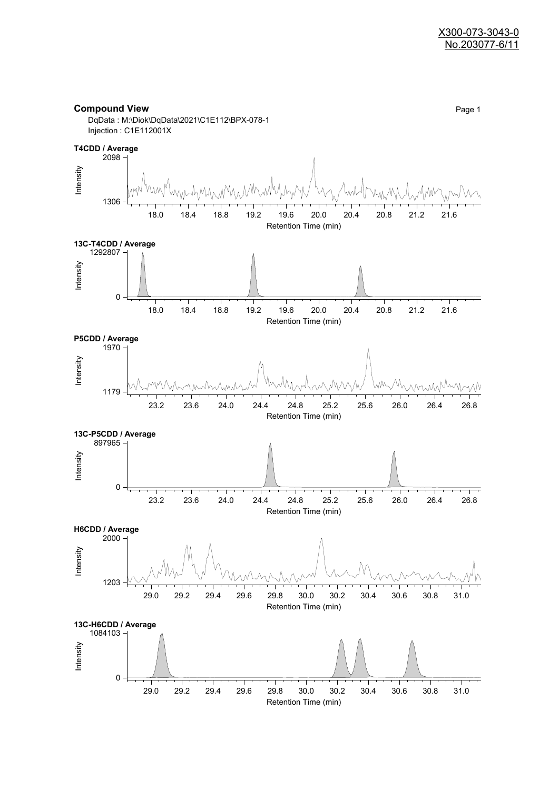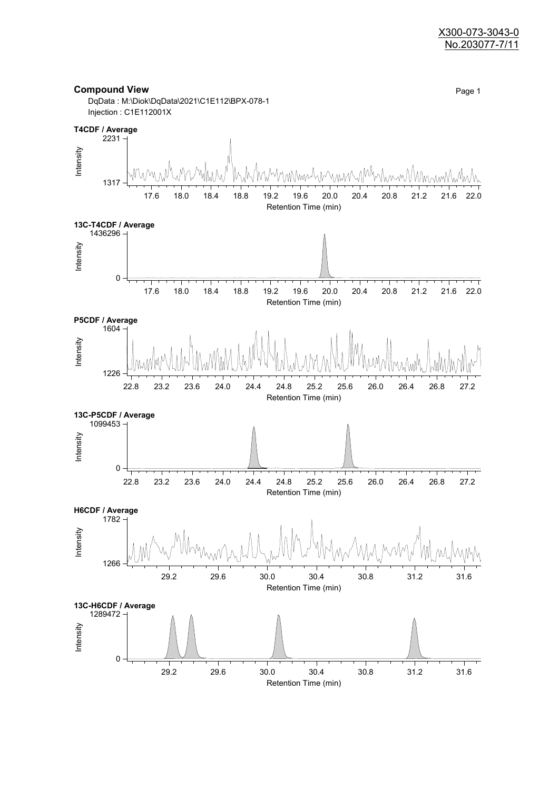#### X300-073-3043-0 No.203077-7/11

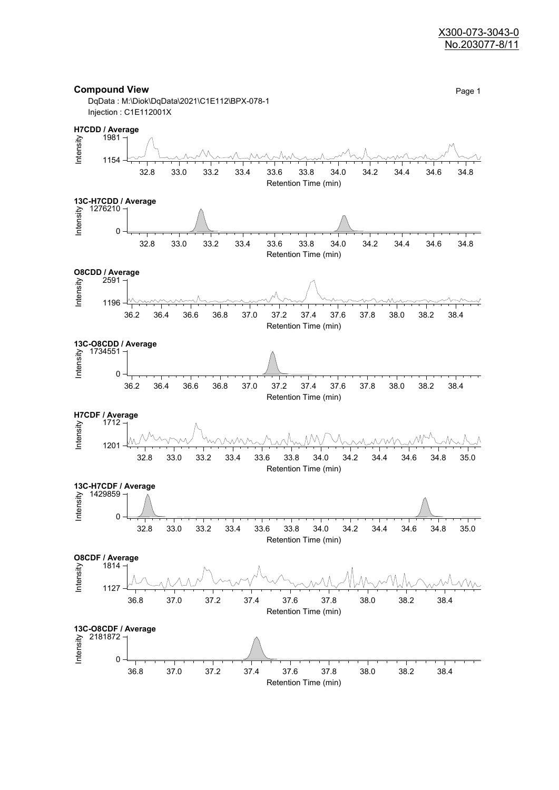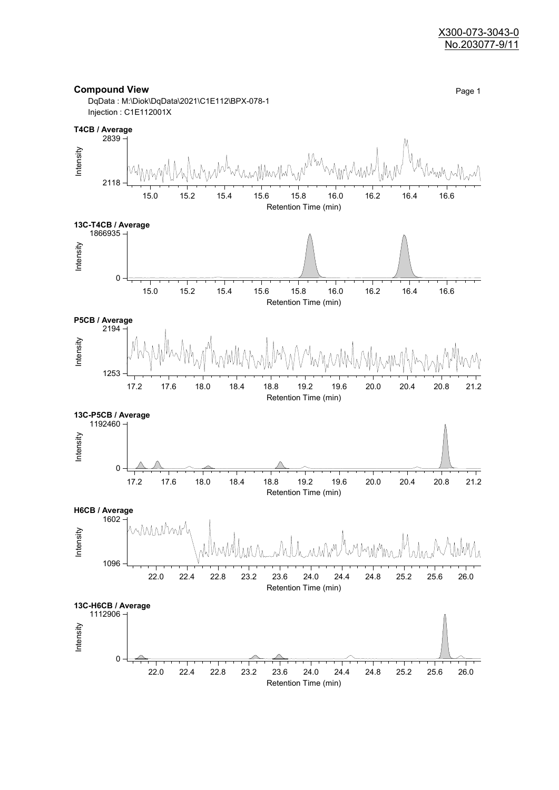

Retention Time (min)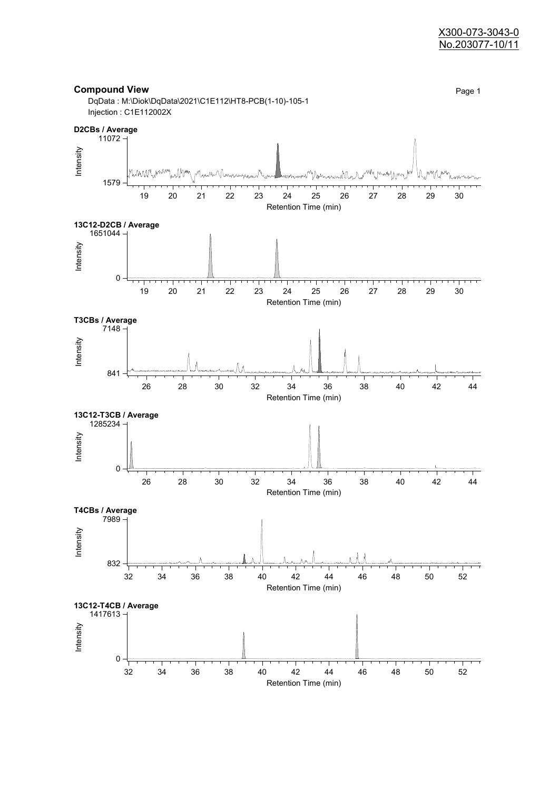